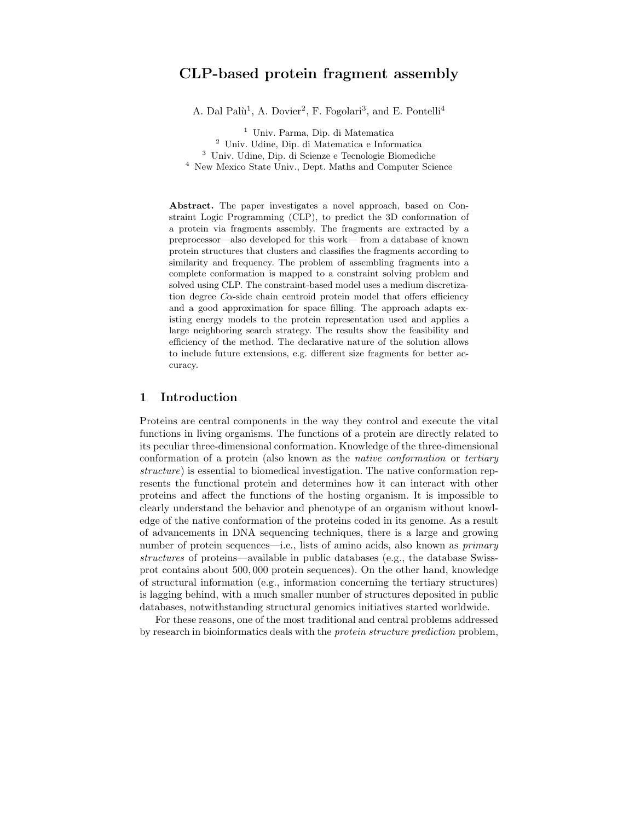# CLP-based protein fragment assembly

A. Dal Palù<sup>1</sup>, A. Dovier<sup>2</sup>, F. Fogolari<sup>3</sup>, and E. Pontelli<sup>4</sup>

 Univ. Parma, Dip. di Matematica Univ. Udine, Dip. di Matematica e Informatica Univ. Udine, Dip. di Scienze e Tecnologie Biomediche New Mexico State Univ., Dept. Maths and Computer Science

Abstract. The paper investigates a novel approach, based on Constraint Logic Programming (CLP), to predict the 3D conformation of a protein via fragments assembly. The fragments are extracted by a preprocessor—also developed for this work— from a database of known protein structures that clusters and classifies the fragments according to similarity and frequency. The problem of assembling fragments into a complete conformation is mapped to a constraint solving problem and solved using CLP. The constraint-based model uses a medium discretization degree  $C\alpha$ -side chain centroid protein model that offers efficiency and a good approximation for space filling. The approach adapts existing energy models to the protein representation used and applies a large neighboring search strategy. The results show the feasibility and efficiency of the method. The declarative nature of the solution allows to include future extensions, e.g. different size fragments for better accuracy.

### 1 Introduction

Proteins are central components in the way they control and execute the vital functions in living organisms. The functions of a protein are directly related to its peculiar three-dimensional conformation. Knowledge of the three-dimensional conformation of a protein (also known as the native conformation or tertiary structure) is essential to biomedical investigation. The native conformation represents the functional protein and determines how it can interact with other proteins and affect the functions of the hosting organism. It is impossible to clearly understand the behavior and phenotype of an organism without knowledge of the native conformation of the proteins coded in its genome. As a result of advancements in DNA sequencing techniques, there is a large and growing number of protein sequences—i.e., lists of amino acids, also known as *primary* structures of proteins—available in public databases (e.g., the database Swissprot contains about 500, 000 protein sequences). On the other hand, knowledge of structural information (e.g., information concerning the tertiary structures) is lagging behind, with a much smaller number of structures deposited in public databases, notwithstanding structural genomics initiatives started worldwide.

For these reasons, one of the most traditional and central problems addressed by research in bioinformatics deals with the protein structure prediction problem,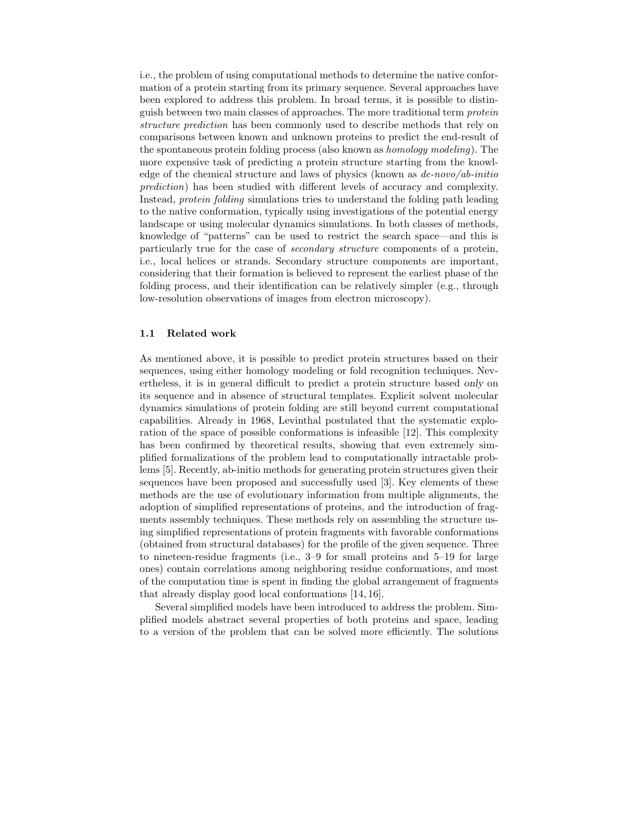i.e., the problem of using computational methods to determine the native conformation of a protein starting from its primary sequence. Several approaches have been explored to address this problem. In broad terms, it is possible to distinguish between two main classes of approaches. The more traditional term protein structure prediction has been commonly used to describe methods that rely on comparisons between known and unknown proteins to predict the end-result of the spontaneous protein folding process (also known as homology modeling). The more expensive task of predicting a protein structure starting from the knowledge of the chemical structure and laws of physics (known as  $de-novo/ab\text{-}initio$ ) prediction) has been studied with different levels of accuracy and complexity. Instead, protein folding simulations tries to understand the folding path leading to the native conformation, typically using investigations of the potential energy landscape or using molecular dynamics simulations. In both classes of methods, knowledge of "patterns" can be used to restrict the search space—and this is particularly true for the case of secondary structure components of a protein, i.e., local helices or strands. Secondary structure components are important, considering that their formation is believed to represent the earliest phase of the folding process, and their identification can be relatively simpler (e.g., through low-resolution observations of images from electron microscopy).

#### 1.1 Related work

As mentioned above, it is possible to predict protein structures based on their sequences, using either homology modeling or fold recognition techniques. Nevertheless, it is in general difficult to predict a protein structure based only on its sequence and in absence of structural templates. Explicit solvent molecular dynamics simulations of protein folding are still beyond current computational capabilities. Already in 1968, Levinthal postulated that the systematic exploration of the space of possible conformations is infeasible [12]. This complexity has been confirmed by theoretical results, showing that even extremely simplified formalizations of the problem lead to computationally intractable problems [5]. Recently, ab-initio methods for generating protein structures given their sequences have been proposed and successfully used [3]. Key elements of these methods are the use of evolutionary information from multiple alignments, the adoption of simplified representations of proteins, and the introduction of fragments assembly techniques. These methods rely on assembling the structure using simplified representations of protein fragments with favorable conformations (obtained from structural databases) for the profile of the given sequence. Three to nineteen-residue fragments (i.e., 3–9 for small proteins and 5–19 for large ones) contain correlations among neighboring residue conformations, and most of the computation time is spent in finding the global arrangement of fragments that already display good local conformations [14, 16].

Several simplified models have been introduced to address the problem. Simplified models abstract several properties of both proteins and space, leading to a version of the problem that can be solved more efficiently. The solutions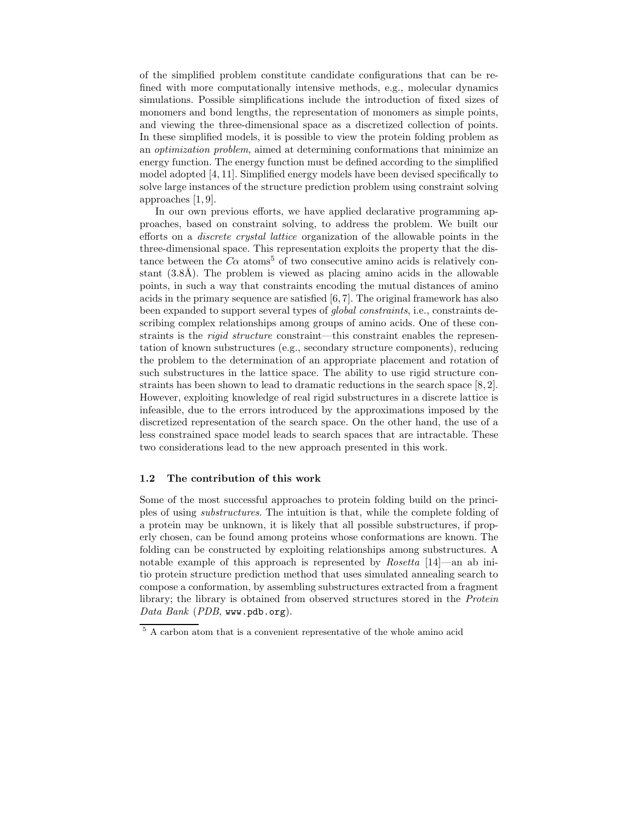of the simplified problem constitute candidate configurations that can be refined with more computationally intensive methods, e.g., molecular dynamics simulations. Possible simplifications include the introduction of fixed sizes of monomers and bond lengths, the representation of monomers as simple points, and viewing the three-dimensional space as a discretized collection of points. In these simplified models, it is possible to view the protein folding problem as an optimization problem, aimed at determining conformations that minimize an energy function. The energy function must be defined according to the simplified model adopted [4, 11]. Simplified energy models have been devised specifically to solve large instances of the structure prediction problem using constraint solving approaches [1, 9].

In our own previous efforts, we have applied declarative programming approaches, based on constraint solving, to address the problem. We built our efforts on a discrete crystal lattice organization of the allowable points in the three-dimensional space. This representation exploits the property that the distance between the  $C\alpha$  atoms<sup>5</sup> of two consecutive amino acids is relatively constant  $(3.8\text{\AA})$ . The problem is viewed as placing amino acids in the allowable points, in such a way that constraints encoding the mutual distances of amino acids in the primary sequence are satisfied [6, 7]. The original framework has also been expanded to support several types of global constraints, i.e., constraints describing complex relationships among groups of amino acids. One of these constraints is the rigid structure constraint—this constraint enables the representation of known substructures (e.g., secondary structure components), reducing the problem to the determination of an appropriate placement and rotation of such substructures in the lattice space. The ability to use rigid structure constraints has been shown to lead to dramatic reductions in the search space  $[8, 2]$ . However, exploiting knowledge of real rigid substructures in a discrete lattice is infeasible, due to the errors introduced by the approximations imposed by the discretized representation of the search space. On the other hand, the use of a less constrained space model leads to search spaces that are intractable. These two considerations lead to the new approach presented in this work.

#### 1.2 The contribution of this work

Some of the most successful approaches to protein folding build on the principles of using substructures. The intuition is that, while the complete folding of a protein may be unknown, it is likely that all possible substructures, if properly chosen, can be found among proteins whose conformations are known. The folding can be constructed by exploiting relationships among substructures. A notable example of this approach is represented by Rosetta [14]—an ab initio protein structure prediction method that uses simulated annealing search to compose a conformation, by assembling substructures extracted from a fragment library; the library is obtained from observed structures stored in the Protein Data Bank (PDB, www.pdb.org).

<sup>5</sup> A carbon atom that is a convenient representative of the whole amino acid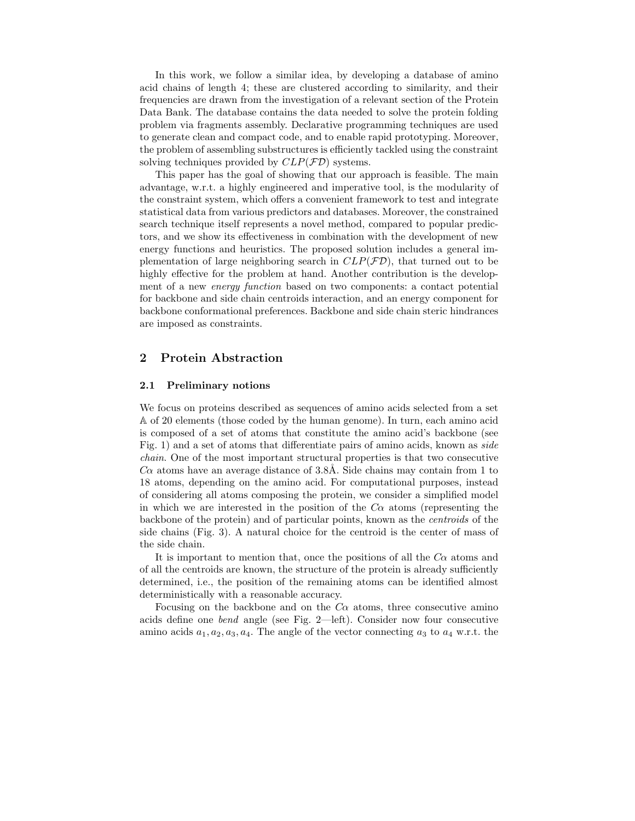In this work, we follow a similar idea, by developing a database of amino acid chains of length 4; these are clustered according to similarity, and their frequencies are drawn from the investigation of a relevant section of the Protein Data Bank. The database contains the data needed to solve the protein folding problem via fragments assembly. Declarative programming techniques are used to generate clean and compact code, and to enable rapid prototyping. Moreover, the problem of assembling substructures is efficiently tackled using the constraint solving techniques provided by  $CLP(\mathcal{FD})$  systems.

This paper has the goal of showing that our approach is feasible. The main advantage, w.r.t. a highly engineered and imperative tool, is the modularity of the constraint system, which offers a convenient framework to test and integrate statistical data from various predictors and databases. Moreover, the constrained search technique itself represents a novel method, compared to popular predictors, and we show its effectiveness in combination with the development of new energy functions and heuristics. The proposed solution includes a general implementation of large neighboring search in  $CLP(\mathcal{FD})$ , that turned out to be highly effective for the problem at hand. Another contribution is the development of a new energy function based on two components: a contact potential for backbone and side chain centroids interaction, and an energy component for backbone conformational preferences. Backbone and side chain steric hindrances are imposed as constraints.

### 2 Protein Abstraction

#### 2.1 Preliminary notions

We focus on proteins described as sequences of amino acids selected from a set A of 20 elements (those coded by the human genome). In turn, each amino acid is composed of a set of atoms that constitute the amino acid's backbone (see Fig. 1) and a set of atoms that differentiate pairs of amino acids, known as side chain. One of the most important structural properties is that two consecutive  $C\alpha$  atoms have an average distance of 3.8Å. Side chains may contain from 1 to 18 atoms, depending on the amino acid. For computational purposes, instead of considering all atoms composing the protein, we consider a simplified model in which we are interested in the position of the  $C\alpha$  atoms (representing the backbone of the protein) and of particular points, known as the centroids of the side chains (Fig. 3). A natural choice for the centroid is the center of mass of the side chain.

It is important to mention that, once the positions of all the  $C\alpha$  atoms and of all the centroids are known, the structure of the protein is already sufficiently determined, i.e., the position of the remaining atoms can be identified almost deterministically with a reasonable accuracy.

Focusing on the backbone and on the  $C\alpha$  atoms, three consecutive amino acids define one bend angle (see Fig. 2—left). Consider now four consecutive amino acids  $a_1, a_2, a_3, a_4$ . The angle of the vector connecting  $a_3$  to  $a_4$  w.r.t. the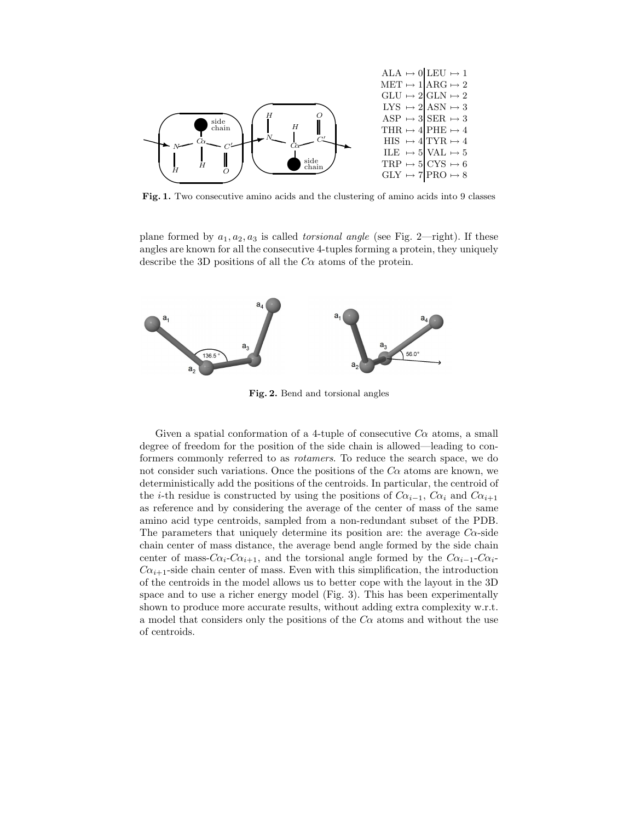

Fig. 1. Two consecutive amino acids and the clustering of amino acids into 9 classes

plane formed by  $a_1, a_2, a_3$  is called *torsional angle* (see Fig. 2—right). If these angles are known for all the consecutive 4-tuples forming a protein, they uniquely describe the 3D positions of all the  $C\alpha$  atoms of the protein.



Fig. 2. Bend and torsional angles

Given a spatial conformation of a 4-tuple of consecutive  $C\alpha$  atoms, a small degree of freedom for the position of the side chain is allowed—leading to conformers commonly referred to as rotamers. To reduce the search space, we do not consider such variations. Once the positions of the  $C\alpha$  atoms are known, we deterministically add the positions of the centroids. In particular, the centroid of the *i*-th residue is constructed by using the positions of  $C\alpha_{i-1}$ ,  $C\alpha_i$  and  $C\alpha_{i+1}$ as reference and by considering the average of the center of mass of the same amino acid type centroids, sampled from a non-redundant subset of the PDB. The parameters that uniquely determine its position are: the average  $C_{\alpha}$ -side chain center of mass distance, the average bend angle formed by the side chain center of mass- $C\alpha_i-C\alpha_{i+1}$ , and the torsional angle formed by the  $C\alpha_{i-1}-C\alpha_i$ - $C\alpha_{i+1}$ -side chain center of mass. Even with this simplification, the introduction of the centroids in the model allows us to better cope with the layout in the 3D space and to use a richer energy model (Fig. 3). This has been experimentally shown to produce more accurate results, without adding extra complexity w.r.t. a model that considers only the positions of the  $C\alpha$  atoms and without the use of centroids.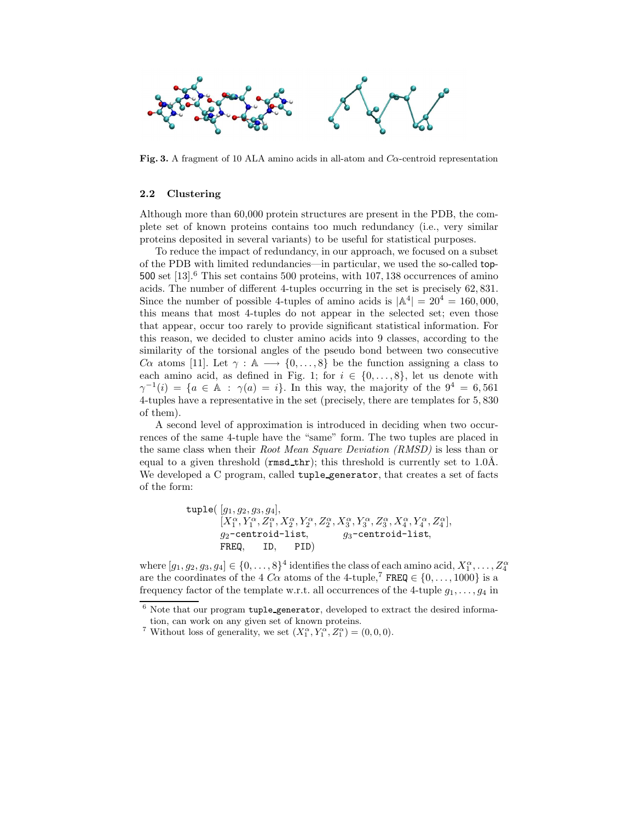

Fig. 3. A fragment of 10 ALA amino acids in all-atom and  $C_{\alpha}$ -centroid representation

### 2.2 Clustering

Although more than 60,000 protein structures are present in the PDB, the complete set of known proteins contains too much redundancy (i.e., very similar proteins deposited in several variants) to be useful for statistical purposes.

To reduce the impact of redundancy, in our approach, we focused on a subset of the PDB with limited redundancies—in particular, we used the so-called top-500 set  $[13]$ .<sup>6</sup> This set contains 500 proteins, with 107, 138 occurrences of amino acids. The number of different 4-tuples occurring in the set is precisely 62, 831. Since the number of possible 4-tuples of amino acids is  $|\mathbb{A}^4| = 20^4 = 160,000$ , this means that most 4-tuples do not appear in the selected set; even those that appear, occur too rarely to provide significant statistical information. For this reason, we decided to cluster amino acids into 9 classes, according to the similarity of the torsional angles of the pseudo bond between two consecutive Ca atoms [11]. Let  $\gamma : \mathbb{A} \longrightarrow \{0, \ldots, 8\}$  be the function assigning a class to each amino acid, as defined in Fig. 1; for  $i \in \{0, \ldots, 8\}$ , let us denote with  $\gamma^{-1}(i) = \{a \in \mathbb{A} : \gamma(a) = i\}.$  In this way, the majority of the  $9^4 = 6,561$ 4-tuples have a representative in the set (precisely, there are templates for 5, 830 of them).

A second level of approximation is introduced in deciding when two occurrences of the same 4-tuple have the "same" form. The two tuples are placed in the same class when their Root Mean Square Deviation (RMSD) is less than or equal to a given threshold ( $\text{rmsd\_thr}$ ); this threshold is currently set to 1.0Å. We developed a C program, called **tuple generator**, that creates a set of facts of the form:

> tuple( $[g_1, g_2, g_3, g_4]$ ,  $[X_1^{\alpha}, Y_1^{\alpha}, Z_1^{\alpha}, X_2^{\alpha}, Y_2^{\alpha}, Z_2^{\alpha}, X_3^{\alpha}, Y_3^{\alpha}, Z_3^{\alpha}, X_4^{\alpha}, Y_4^{\alpha}, Z_4^{\alpha}],$  $g_2$ -centroid-list,  $g_3$ -centroid-list, FREQ, ID, PID)

where  $[g_1, g_2, g_3, g_4] \in \{0, \ldots, 8\}^4$  identifies the class of each amino acid,  $X_1^{\alpha}, \ldots, Z_4^{\alpha}$ are the coordinates of the 4  $C\alpha$  atoms of the 4-tuple,<sup>7</sup> FREQ  $\in \{0, \ldots, 1000\}$  is a frequency factor of the template w.r.t. all occurrences of the 4-tuple  $q_1, \ldots, q_4$  in

 $6$  Note that our program tuple generator, developed to extract the desired information, can work on any given set of known proteins.

<sup>&</sup>lt;sup>7</sup> Without loss of generality, we set  $(X_1^{\alpha}, Y_1^{\alpha}, Z_1^{\alpha}) = (0, 0, 0)$ .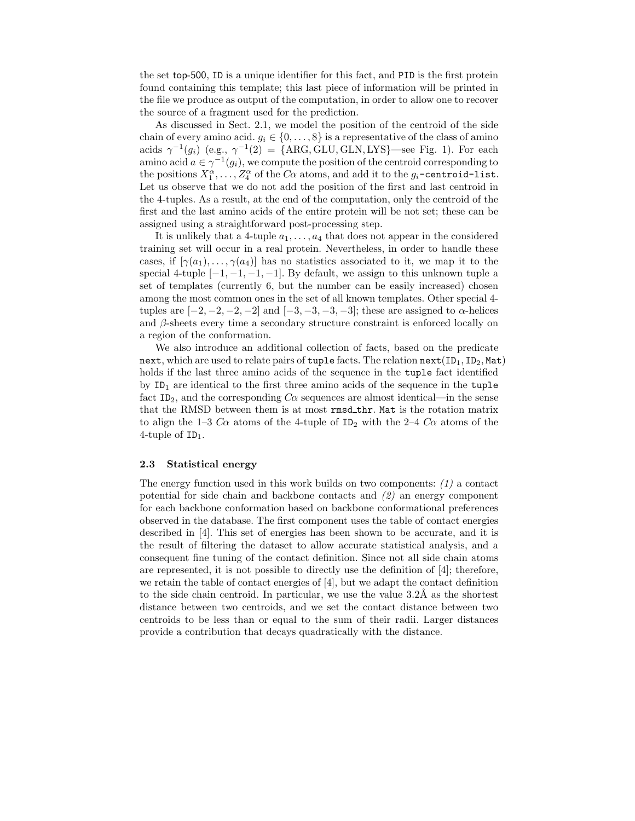the set top-500, ID is a unique identifier for this fact, and PID is the first protein found containing this template; this last piece of information will be printed in the file we produce as output of the computation, in order to allow one to recover the source of a fragment used for the prediction.

As discussed in Sect. 2.1, we model the position of the centroid of the side chain of every amino acid.  $g_i \in \{0, \ldots, 8\}$  is a representative of the class of amino acids  $\gamma^{-1}(g_i)$  (e.g.,  $\gamma^{-1}(2) = \{ \text{ARG}, \text{GLU}, \text{GLN}, \text{LYS} \}$ —see Fig. 1). For each amino acid  $a \in \gamma^{-1}(g_i)$ , we compute the position of the centroid corresponding to the positions  $X_1^{\alpha}, \ldots, Z_4^{\alpha}$  of the  $C\alpha$  atoms, and add it to the  $g_i$ -centroid-list. Let us observe that we do not add the position of the first and last centroid in the 4-tuples. As a result, at the end of the computation, only the centroid of the first and the last amino acids of the entire protein will be not set; these can be assigned using a straightforward post-processing step.

It is unlikely that a 4-tuple  $a_1, \ldots, a_4$  that does not appear in the considered training set will occur in a real protein. Nevertheless, in order to handle these cases, if  $[\gamma(a_1), \ldots, \gamma(a_4)]$  has no statistics associated to it, we map it to the special 4-tuple  $[-1, -1, -1, -1]$ . By default, we assign to this unknown tuple a set of templates (currently 6, but the number can be easily increased) chosen among the most common ones in the set of all known templates. Other special 4 tuples are  $[-2, -2, -2, -2]$  and  $[-3, -3, -3, -3]$ ; these are assigned to  $\alpha$ -helices and  $\beta$ -sheets every time a secondary structure constraint is enforced locally on a region of the conformation.

We also introduce an additional collection of facts, based on the predicate next, which are used to relate pairs of tuple facts. The relation  $next(ID_1, ID_2, Mat)$ holds if the last three amino acids of the sequence in the tuple fact identified by  $ID_1$  are identical to the first three amino acids of the sequence in the tuple fact ID<sub>2</sub>, and the corresponding  $C\alpha$  sequences are almost identical—in the sense that the RMSD between them is at most rmsd\_thr. Mat is the rotation matrix to align the 1–3  $C\alpha$  atoms of the 4-tuple of ID<sub>2</sub> with the 2–4  $C\alpha$  atoms of the 4-tuple of  $ID_1$ .

#### 2.3 Statistical energy

The energy function used in this work builds on two components:  $(1)$  a contact potential for side chain and backbone contacts and (2) an energy component for each backbone conformation based on backbone conformational preferences observed in the database. The first component uses the table of contact energies described in [4]. This set of energies has been shown to be accurate, and it is the result of filtering the dataset to allow accurate statistical analysis, and a consequent fine tuning of the contact definition. Since not all side chain atoms are represented, it is not possible to directly use the definition of [4]; therefore, we retain the table of contact energies of [4], but we adapt the contact definition to the side chain centroid. In particular, we use the value  $3.2\text{\AA}$  as the shortest distance between two centroids, and we set the contact distance between two centroids to be less than or equal to the sum of their radii. Larger distances provide a contribution that decays quadratically with the distance.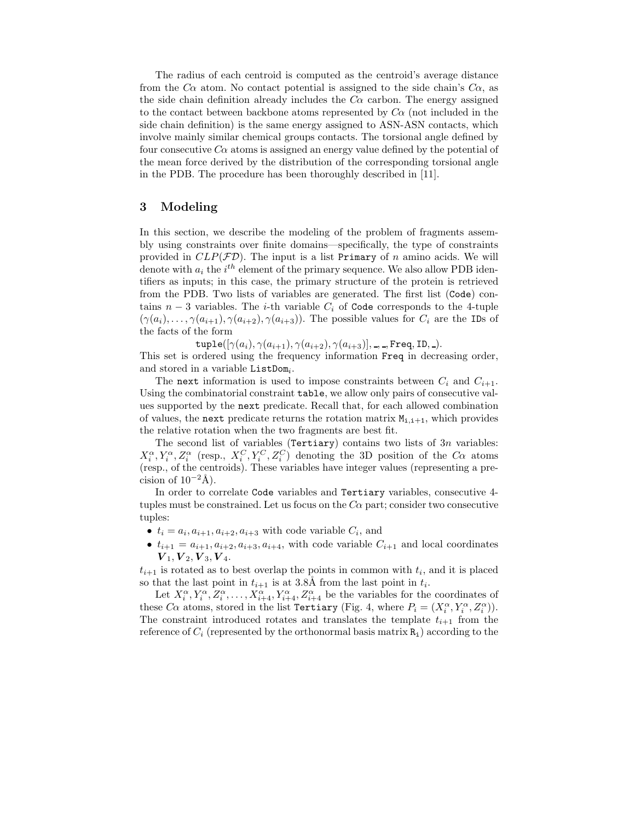The radius of each centroid is computed as the centroid's average distance from the  $C\alpha$  atom. No contact potential is assigned to the side chain's  $C\alpha$ , as the side chain definition already includes the  $C\alpha$  carbon. The energy assigned to the contact between backbone atoms represented by  $C_{\alpha}$  (not included in the side chain definition) is the same energy assigned to ASN-ASN contacts, which involve mainly similar chemical groups contacts. The torsional angle defined by four consecutive  $C_{\alpha}$  atoms is assigned an energy value defined by the potential of the mean force derived by the distribution of the corresponding torsional angle in the PDB. The procedure has been thoroughly described in [11].

### 3 Modeling

In this section, we describe the modeling of the problem of fragments assembly using constraints over finite domains—specifically, the type of constraints provided in  $CLP(\mathcal{FD})$ . The input is a list Primary of n amino acids. We will denote with  $a_i$  the  $i^{th}$  element of the primary sequence. We also allow PDB identifiers as inputs; in this case, the primary structure of the protein is retrieved from the PDB. Two lists of variables are generated. The first list (Code) contains  $n-3$  variables. The *i*-th variable  $C_i$  of Code corresponds to the 4-tuple  $(\gamma(a_i), \ldots, \gamma(a_{i+1}), \gamma(a_{i+2}), \gamma(a_{i+3}))$ . The possible values for  $C_i$  are the IDs of the facts of the form

 $\texttt{tuple}([\gamma(a_i), \gamma(a_{i+1}), \gamma(a_{i+2}), \gamma(a_{i+3})], \_, \_, \texttt{Freq}, \texttt{ID}, \_).$ 

This set is ordered using the frequency information Freq in decreasing order, and stored in a variable  $ListDom<sub>i</sub>$ .

The next information is used to impose constraints between  $C_i$  and  $C_{i+1}$ . Using the combinatorial constraint table, we allow only pairs of consecutive values supported by the next predicate. Recall that, for each allowed combination of values, the next predicate returns the rotation matrix  $M_{i,i+1}$ , which provides the relative rotation when the two fragments are best fit.

The second list of variables (Tertiary) contains two lists of  $3n$  variables:  $X_i^{\alpha}, Y_i^{\alpha}, Z_i^{\alpha}$  (resp.,  $X_i^C, Y_i^C, Z_i^C$ ) denoting the 3D position of the  $C\alpha$  atoms (resp., of the centroids). These variables have integer values (representing a precision of  $10^{-2}$ Å).

In order to correlate Code variables and Tertiary variables, consecutive 4 tuples must be constrained. Let us focus on the  $C_{\alpha}$  part; consider two consecutive tuples:

- $t_i = a_i, a_{i+1}, a_{i+2}, a_{i+3}$  with code variable  $C_i$ , and
- $t_{i+1} = a_{i+1}, a_{i+2}, a_{i+3}, a_{i+4}$ , with code variable  $C_{i+1}$  and local coordinates  $V_1, V_2, V_3, V_4.$

 $t_{i+1}$  is rotated as to best overlap the points in common with  $t_i$ , and it is placed so that the last point in  $t_{i+1}$  is at 3.8Å from the last point in  $t_i$ .

Let  $X_i^{\alpha}, Y_i^{\alpha}, Z_i^{\alpha}, \ldots, X_{i+4}^{\alpha}, Y_{i+4}^{\alpha}, Z_{i+4}^{\alpha}$  be the variables for the coordinates of these C $\alpha$  atoms, stored in the list Tertiary (Fig. 4, where  $P_i = (X_i^{\alpha}, Y_i^{\alpha}, Z_i^{\alpha})$ ). The constraint introduced rotates and translates the template  $t_{i+1}$  from the reference of  $C_i$  (represented by the orthonormal basis matrix  $R_i$ ) according to the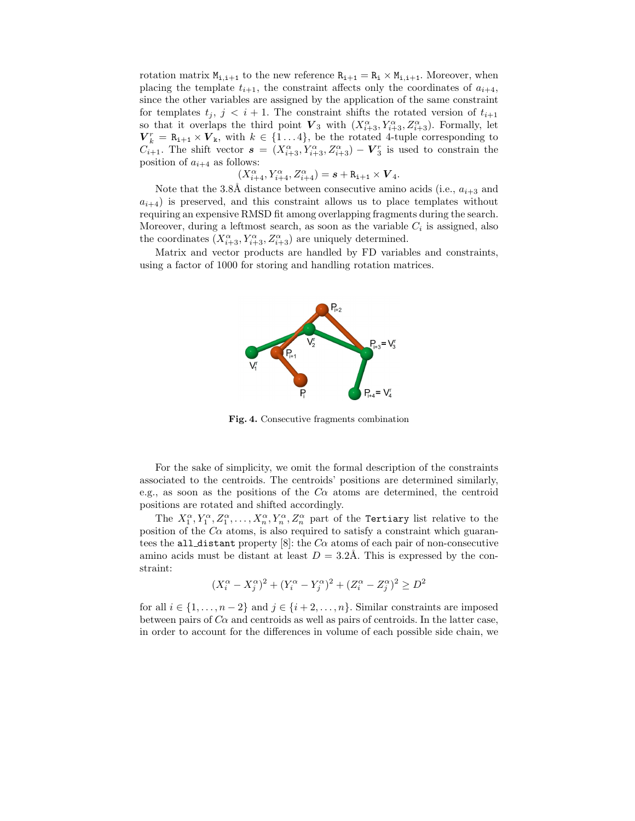rotation matrix  $M_{i,i+1}$  to the new reference  $R_{i+1} = R_i \times M_{i,i+1}$ . Moreover, when placing the template  $t_{i+1}$ , the constraint affects only the coordinates of  $a_{i+4}$ , since the other variables are assigned by the application of the same constraint for templates  $t_j, j \lt i+1$ . The constraint shifts the rotated version of  $t_{i+1}$ so that it overlaps the third point  $V_3$  with  $(X_{i+3}^{\alpha}, Y_{i+3}^{\alpha}, Z_{i+3}^{\alpha})$ . Formally, let  $\boldsymbol{V}_k^r = \mathbf{R}_{1+1} \times \boldsymbol{V}_k$ , with  $k \in \{1...4\}$ , be the rotated 4-tuple corresponding to  $C_{i+1}$ . The shift vector  $s = (X_{i+3}^{\alpha}, Y_{i+3}^{\alpha}, Z_{i+3}^{\alpha}) - \boldsymbol{V}_3^r$  is used to constrain the position of  $a_{i+4}$  as follows:

$$
(X_{i+4}^{\alpha},Y_{i+4}^{\alpha},Z_{i+4}^{\alpha})=s+\mathtt{R_{i+1}}\times\boldsymbol{V}_{4}.
$$

Note that the 3.8Å distance between consecutive amino acids (i.e.,  $a_{i+3}$  and  $a_{i+4}$ ) is preserved, and this constraint allows us to place templates without requiring an expensive RMSD fit among overlapping fragments during the search. Moreover, during a leftmost search, as soon as the variable  $C_i$  is assigned, also the coordinates  $(X_{i+3}^{\alpha}, Y_{i+3}^{\alpha}, Z_{i+3}^{\alpha})$  are uniquely determined.

Matrix and vector products are handled by FD variables and constraints, using a factor of 1000 for storing and handling rotation matrices.



Fig. 4. Consecutive fragments combination

For the sake of simplicity, we omit the formal description of the constraints associated to the centroids. The centroids' positions are determined similarly, e.g., as soon as the positions of the  $C\alpha$  atoms are determined, the centroid positions are rotated and shifted accordingly.

The  $X_1^{\alpha}, Y_1^{\alpha}, Z_1^{\alpha}, \ldots, X_n^{\alpha}, Y_n^{\alpha}, Z_n^{\alpha}$  part of the Tertiary list relative to the position of the  $C\alpha$  atoms, is also required to satisfy a constraint which guarantees the all distant property [8]: the  $C\alpha$  atoms of each pair of non-consecutive amino acids must be distant at least  $D = 3.2\text{\AA}$ . This is expressed by the constraint:

$$
(X_i^{\alpha} - X_j^{\alpha})^2 + (Y_i^{\alpha} - Y_j^{\alpha})^2 + (Z_i^{\alpha} - Z_j^{\alpha})^2 \ge D^2
$$

for all  $i \in \{1, \ldots, n-2\}$  and  $j \in \{i+2, \ldots, n\}$ . Similar constraints are imposed between pairs of  $C\alpha$  and centroids as well as pairs of centroids. In the latter case, in order to account for the differences in volume of each possible side chain, we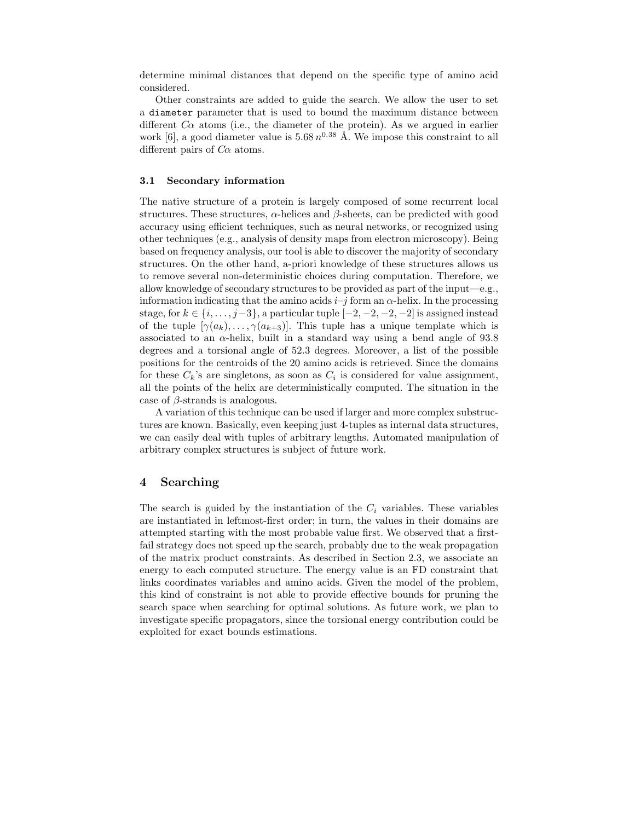determine minimal distances that depend on the specific type of amino acid considered.

Other constraints are added to guide the search. We allow the user to set a diameter parameter that is used to bound the maximum distance between different  $C\alpha$  atoms (i.e., the diameter of the protein). As we argued in earlier work [6], a good diameter value is  $5.68 n^{0.38}$  Å. We impose this constraint to all different pairs of  $C\alpha$  atoms.

#### 3.1 Secondary information

The native structure of a protein is largely composed of some recurrent local structures. These structures,  $\alpha$ -helices and  $\beta$ -sheets, can be predicted with good accuracy using efficient techniques, such as neural networks, or recognized using other techniques (e.g., analysis of density maps from electron microscopy). Being based on frequency analysis, our tool is able to discover the majority of secondary structures. On the other hand, a-priori knowledge of these structures allows us to remove several non-deterministic choices during computation. Therefore, we allow knowledge of secondary structures to be provided as part of the input—e.g., information indicating that the amino acids  $i-j$  form an  $\alpha$ -helix. In the processing stage, for  $k \in \{i, \ldots, j-3\}$ , a particular tuple  $[-2, -2, -2, -2]$  is assigned instead of the tuple  $[\gamma(a_k), \ldots, \gamma(a_{k+3})]$ . This tuple has a unique template which is associated to an  $\alpha$ -helix, built in a standard way using a bend angle of 93.8 degrees and a torsional angle of 52.3 degrees. Moreover, a list of the possible positions for the centroids of the 20 amino acids is retrieved. Since the domains for these  $C_k$ 's are singletons, as soon as  $C_i$  is considered for value assignment, all the points of the helix are deterministically computed. The situation in the case of  $\beta$ -strands is analogous.

A variation of this technique can be used if larger and more complex substructures are known. Basically, even keeping just 4-tuples as internal data structures, we can easily deal with tuples of arbitrary lengths. Automated manipulation of arbitrary complex structures is subject of future work.

### 4 Searching

The search is guided by the instantiation of the  $C_i$  variables. These variables are instantiated in leftmost-first order; in turn, the values in their domains are attempted starting with the most probable value first. We observed that a firstfail strategy does not speed up the search, probably due to the weak propagation of the matrix product constraints. As described in Section 2.3, we associate an energy to each computed structure. The energy value is an FD constraint that links coordinates variables and amino acids. Given the model of the problem, this kind of constraint is not able to provide effective bounds for pruning the search space when searching for optimal solutions. As future work, we plan to investigate specific propagators, since the torsional energy contribution could be exploited for exact bounds estimations.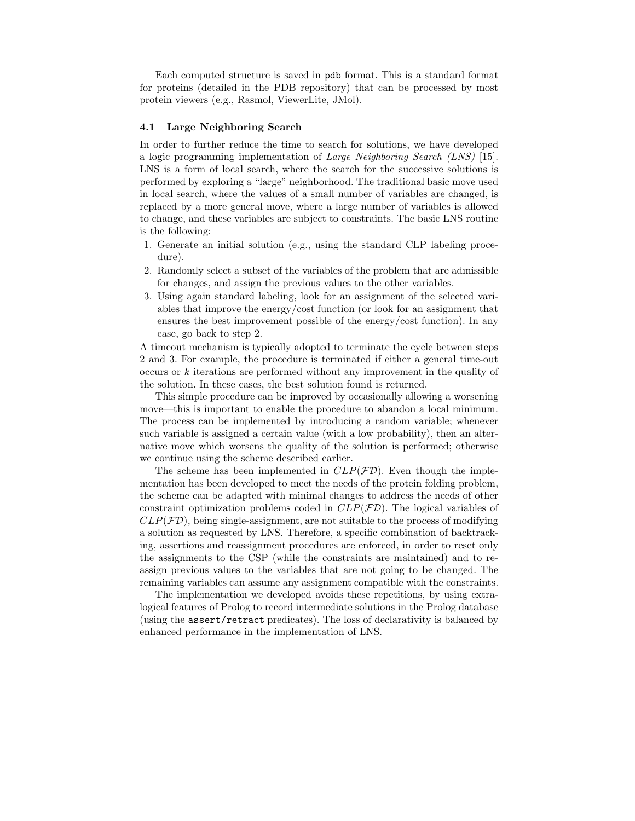Each computed structure is saved in pdb format. This is a standard format for proteins (detailed in the PDB repository) that can be processed by most protein viewers (e.g., Rasmol, ViewerLite, JMol).

#### 4.1 Large Neighboring Search

In order to further reduce the time to search for solutions, we have developed a logic programming implementation of Large Neighboring Search (LNS) [15]. LNS is a form of local search, where the search for the successive solutions is performed by exploring a "large" neighborhood. The traditional basic move used in local search, where the values of a small number of variables are changed, is replaced by a more general move, where a large number of variables is allowed to change, and these variables are subject to constraints. The basic LNS routine is the following:

- 1. Generate an initial solution (e.g., using the standard CLP labeling procedure).
- 2. Randomly select a subset of the variables of the problem that are admissible for changes, and assign the previous values to the other variables.
- 3. Using again standard labeling, look for an assignment of the selected variables that improve the energy/cost function (or look for an assignment that ensures the best improvement possible of the energy/cost function). In any case, go back to step 2.

A timeout mechanism is typically adopted to terminate the cycle between steps 2 and 3. For example, the procedure is terminated if either a general time-out occurs or k iterations are performed without any improvement in the quality of the solution. In these cases, the best solution found is returned.

This simple procedure can be improved by occasionally allowing a worsening move—this is important to enable the procedure to abandon a local minimum. The process can be implemented by introducing a random variable; whenever such variable is assigned a certain value (with a low probability), then an alternative move which worsens the quality of the solution is performed; otherwise we continue using the scheme described earlier.

The scheme has been implemented in  $CLP(\mathcal{FD})$ . Even though the implementation has been developed to meet the needs of the protein folding problem, the scheme can be adapted with minimal changes to address the needs of other constraint optimization problems coded in  $CLP(\mathcal{FD})$ . The logical variables of  $CLP(\mathcal{FD})$ , being single-assignment, are not suitable to the process of modifying a solution as requested by LNS. Therefore, a specific combination of backtracking, assertions and reassignment procedures are enforced, in order to reset only the assignments to the CSP (while the constraints are maintained) and to reassign previous values to the variables that are not going to be changed. The remaining variables can assume any assignment compatible with the constraints.

The implementation we developed avoids these repetitions, by using extralogical features of Prolog to record intermediate solutions in the Prolog database (using the assert/retract predicates). The loss of declarativity is balanced by enhanced performance in the implementation of LNS.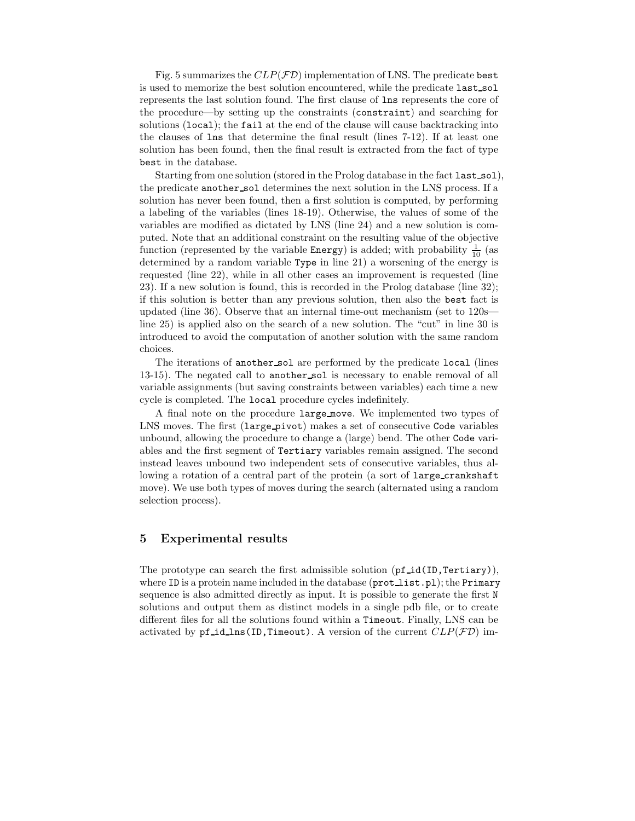Fig. 5 summarizes the  $CLP(\mathcal{FD})$  implementation of LNS. The predicate best is used to memorize the best solution encountered, while the predicate last sol represents the last solution found. The first clause of lns represents the core of the procedure—by setting up the constraints (constraint) and searching for solutions (local); the fail at the end of the clause will cause backtracking into the clauses of lns that determine the final result (lines 7-12). If at least one solution has been found, then the final result is extracted from the fact of type best in the database.

Starting from one solution (stored in the Prolog database in the fact last sol), the predicate another sol determines the next solution in the LNS process. If a solution has never been found, then a first solution is computed, by performing a labeling of the variables (lines 18-19). Otherwise, the values of some of the variables are modified as dictated by LNS (line 24) and a new solution is computed. Note that an additional constraint on the resulting value of the objective function (represented by the variable **Energy**) is added; with probability  $\frac{1}{10}$  (as determined by a random variable Type in line 21) a worsening of the energy is requested (line 22), while in all other cases an improvement is requested (line 23). If a new solution is found, this is recorded in the Prolog database (line 32); if this solution is better than any previous solution, then also the best fact is updated (line 36). Observe that an internal time-out mechanism (set to 120s line 25) is applied also on the search of a new solution. The "cut" in line 30 is introduced to avoid the computation of another solution with the same random choices.

The iterations of another sol are performed by the predicate local (lines 13-15). The negated call to another sol is necessary to enable removal of all variable assignments (but saving constraints between variables) each time a new cycle is completed. The local procedure cycles indefinitely.

A final note on the procedure large move. We implemented two types of LNS moves. The first (large pivot) makes a set of consecutive Code variables unbound, allowing the procedure to change a (large) bend. The other Code variables and the first segment of Tertiary variables remain assigned. The second instead leaves unbound two independent sets of consecutive variables, thus allowing a rotation of a central part of the protein (a sort of large crankshaft move). We use both types of moves during the search (alternated using a random selection process).

### 5 Experimental results

The prototype can search the first admissible solution  $(pf_id(ID,Tertiary)),$ where ID is a protein name included in the database  $(\text{prot\_list.pl});$  the Primary sequence is also admitted directly as input. It is possible to generate the first N solutions and output them as distinct models in a single pdb file, or to create different files for all the solutions found within a Timeout. Finally, LNS can be activated by pf\_id\_lns(ID,Timeout). A version of the current  $CLP(\mathcal{FD})$  im-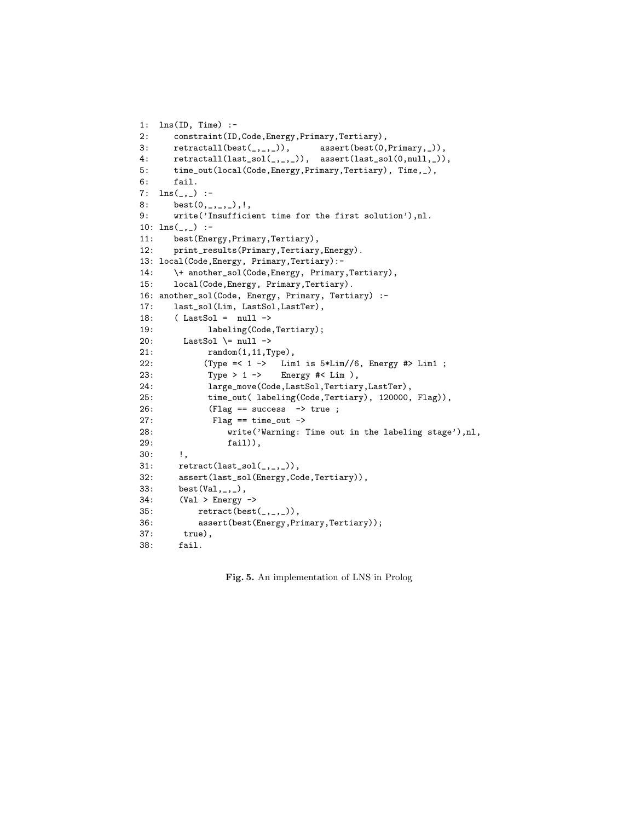```
1: lns(ID, Time) :-
2: constraint(ID,Code,Energy,Primary,Tertiary),<br>3: retractall(best(_,_,_)), assert(best(0,
3: return = \text{retractual}(\text{best}(\_,\_,\_)), \quad \text{assert}(\text{best}(0, \text{Primary}, \_)),4: retractall(last_sol(_,_,_)), assert(last_sol(0,null,_)),
5: time_out(local(Code,Energy,Primary,Tertiary), Time,_),
6: fail.
7: lns(_,_) :-
8: best(0, -,-,-),!,
9: write('Insufficient time for the first solution'),nl.
10: \ln s(, ) :-
11: best(Energy,Primary,Tertiary),
12: print_results(Primary,Tertiary,Energy).
13: local(Code,Energy, Primary,Tertiary):-
14: \+ another_sol(Code,Energy, Primary,Tertiary),
15: local(Code,Energy, Primary,Tertiary).
16: another_sol(Code, Energy, Primary, Tertiary) :-
17: last_sol(Lim, LastSol,LastTer),
18: ( LastSol = null ->
19: labeling(Code,Tertiary);
20: LastSol \lvert ->
21: random(1,11,Type),
22: (Type =< 1 -> Lim1 is 5*Lim//6, Energy #> Lim1 ;
23: Type > 1 \rightarrow Energy #< Lim ),
24: large_move(Code,LastSol,Tertiary,LastTer),
25: time_out( labeling(Code,Tertiary), 120000, Flag)),
26: (Flag == success \rightarrow true;
27: Flag == time_out \rightarrow28: write('Warning: Time out in the labeling stage'),nl,
29: fail)),
30: !,
31: return (last\_sol(\_,\_,\_)),32: assert(last_sol(Energy,Code,Tertiary)),
33: best(Val, _, _),
34: (Val > Energy ->
35: \text{retract}(\text{best}(\_1, \_1)),
36: assert(best(Energy,Primary,Tertiary));
37: true),
38: fail.
```
Fig. 5. An implementation of LNS in Prolog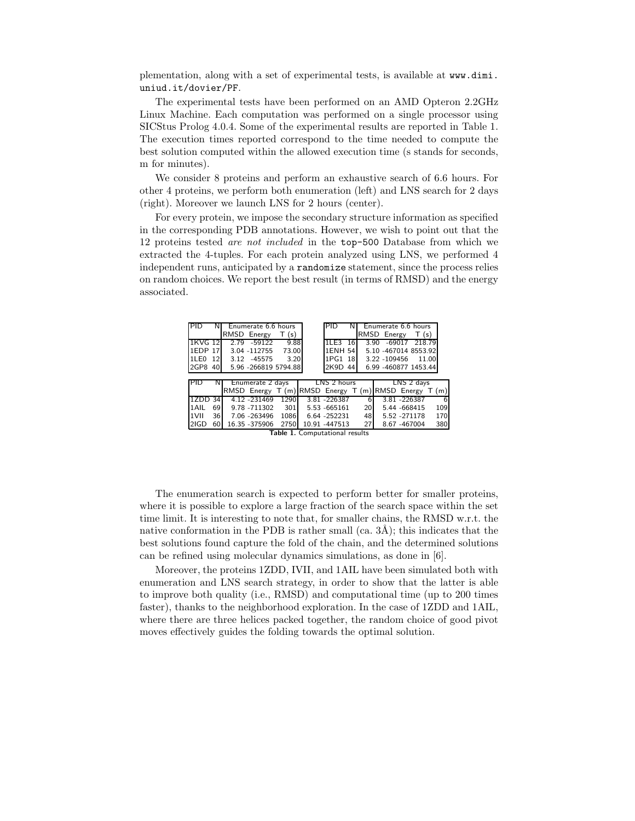plementation, along with a set of experimental tests, is available at www.dimi. uniud.it/dovier/PF.

The experimental tests have been performed on an AMD Opteron 2.2GHz Linux Machine. Each computation was performed on a single processor using SICStus Prolog 4.0.4. Some of the experimental results are reported in Table 1. The execution times reported correspond to the time needed to compute the best solution computed within the allowed execution time (s stands for seconds, m for minutes).

We consider 8 proteins and perform an exhaustive search of 6.6 hours. For other 4 proteins, we perform both enumeration (left) and LNS search for 2 days (right). Moreover we launch LNS for 2 hours (center).

For every protein, we impose the secondary structure information as specified in the corresponding PDB annotations. However, we wish to point out that the 12 proteins tested are not included in the top-500 Database from which we extracted the 4-tuples. For each protein analyzed using LNS, we performed 4 independent runs, anticipated by a randomize statement, since the process relies on random choices. We report the best result (in terms of RMSD) and the energy associated.

| PID     | N.        |      | Enumerate 6.6 hours  |       |                                              | PID            |      |             |      |               |  | Enumerate 6.6 hours  |       |     |
|---------|-----------|------|----------------------|-------|----------------------------------------------|----------------|------|-------------|------|---------------|--|----------------------|-------|-----|
|         |           |      | RMSD Energy          | (s)   |                                              |                |      | RMSD Energy |      |               |  | T(s)                 |       |     |
| 1KVG 12 |           | 2.79 | -59122               | 9.88  |                                              | 1LE3           | - 16 |             | 3.90 |               |  | -69017 218.79        |       |     |
| 1EDP 17 |           |      | 3.04 -112755         | 73.00 |                                              | <b>1ENH 54</b> |      |             |      |               |  | 5.10 -467014 8553.92 |       |     |
| 1LEO    | 12        |      | 3.12 - 45575         | 3.20  |                                              | 1PG1 18        |      |             |      | 3.22 - 109456 |  |                      | 11.00 |     |
| 2GP8    | 40        |      | 5.96 -266819 5794.88 |       |                                              | 2K9D 44        |      |             |      |               |  | 6.99 -460877 1453.44 |       |     |
|         |           |      |                      |       |                                              |                |      |             |      |               |  |                      |       |     |
|         |           |      |                      |       |                                              |                |      |             |      |               |  |                      |       |     |
|         |           |      | Enumerate 2 days     |       |                                              | LNS 2 hours    |      |             |      |               |  | LNS 2 days           |       |     |
|         |           |      | RMSD Energy          |       | $T(m)$ RMSD Energy $T(m)$ RMSD Energy $T(m)$ |                |      |             |      |               |  |                      |       |     |
| 1ZDD    | <b>34</b> |      | 4.12 - 231469        | 1290  |                                              | 3.81 - 226387  |      | 6           |      |               |  | 3.81 - 226387        |       | 6   |
| 1AIL    | 69        |      | 9.78 -711302         | 301   |                                              | 5.53 -665161   |      | 20          |      |               |  | 5.44 -668415         |       | 109 |
| 1VII    | 36        |      | 7.06 -263496         | 1086  |                                              | 6.64 - 252231  |      | 48          |      |               |  | 5.52 - 271178        |       | 170 |
| 2IGD    | 60        |      | 16.35 - 375906       | 2750  |                                              | 10.91 -447513  |      | 27          |      |               |  | 8.67 -467004         |       | 380 |

Table 1. Computational results

The enumeration search is expected to perform better for smaller proteins, where it is possible to explore a large fraction of the search space within the set time limit. It is interesting to note that, for smaller chains, the RMSD w.r.t. the native conformation in the PDB is rather small  $(ca. 3\AA)$ ; this indicates that the best solutions found capture the fold of the chain, and the determined solutions can be refined using molecular dynamics simulations, as done in [6].

Moreover, the proteins 1ZDD, IVII, and 1AIL have been simulated both with enumeration and LNS search strategy, in order to show that the latter is able to improve both quality (i.e., RMSD) and computational time (up to 200 times faster), thanks to the neighborhood exploration. In the case of 1ZDD and 1AIL, where there are three helices packed together, the random choice of good pivot moves effectively guides the folding towards the optimal solution.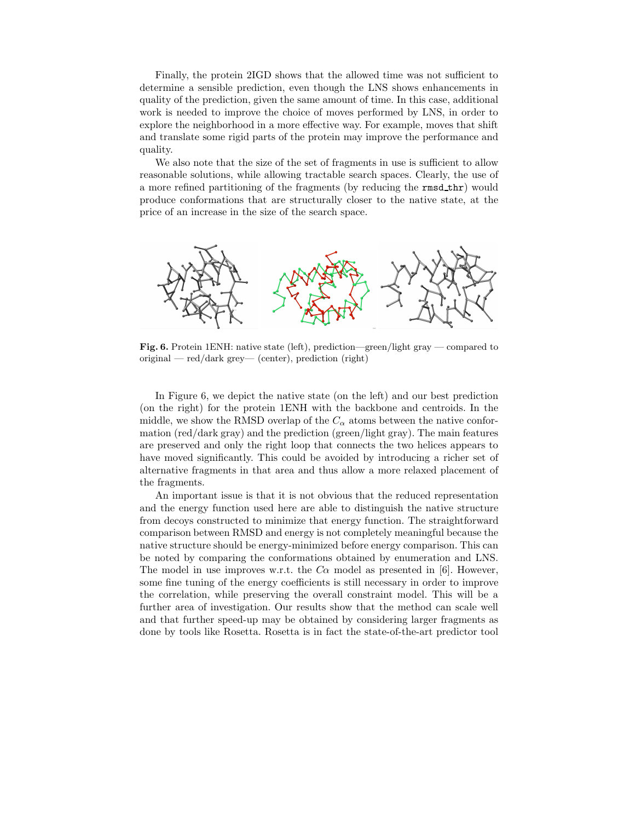Finally, the protein 2IGD shows that the allowed time was not sufficient to determine a sensible prediction, even though the LNS shows enhancements in quality of the prediction, given the same amount of time. In this case, additional work is needed to improve the choice of moves performed by LNS, in order to explore the neighborhood in a more effective way. For example, moves that shift and translate some rigid parts of the protein may improve the performance and quality.

We also note that the size of the set of fragments in use is sufficient to allow reasonable solutions, while allowing tractable search spaces. Clearly, the use of a more refined partitioning of the fragments (by reducing the rmsd\_thr) would produce conformations that are structurally closer to the native state, at the price of an increase in the size of the search space.



Fig. 6. Protein 1ENH: native state (left), prediction—green/light gray — compared to original — red/dark grey— (center), prediction (right)

In Figure 6, we depict the native state (on the left) and our best prediction (on the right) for the protein 1ENH with the backbone and centroids. In the middle, we show the RMSD overlap of the  $C_{\alpha}$  atoms between the native conformation (red/dark gray) and the prediction (green/light gray). The main features are preserved and only the right loop that connects the two helices appears to have moved significantly. This could be avoided by introducing a richer set of alternative fragments in that area and thus allow a more relaxed placement of the fragments.

An important issue is that it is not obvious that the reduced representation and the energy function used here are able to distinguish the native structure from decoys constructed to minimize that energy function. The straightforward comparison between RMSD and energy is not completely meaningful because the native structure should be energy-minimized before energy comparison. This can be noted by comparing the conformations obtained by enumeration and LNS. The model in use improves w.r.t. the  $C_{\alpha}$  model as presented in [6]. However, some fine tuning of the energy coefficients is still necessary in order to improve the correlation, while preserving the overall constraint model. This will be a further area of investigation. Our results show that the method can scale well and that further speed-up may be obtained by considering larger fragments as done by tools like Rosetta. Rosetta is in fact the state-of-the-art predictor tool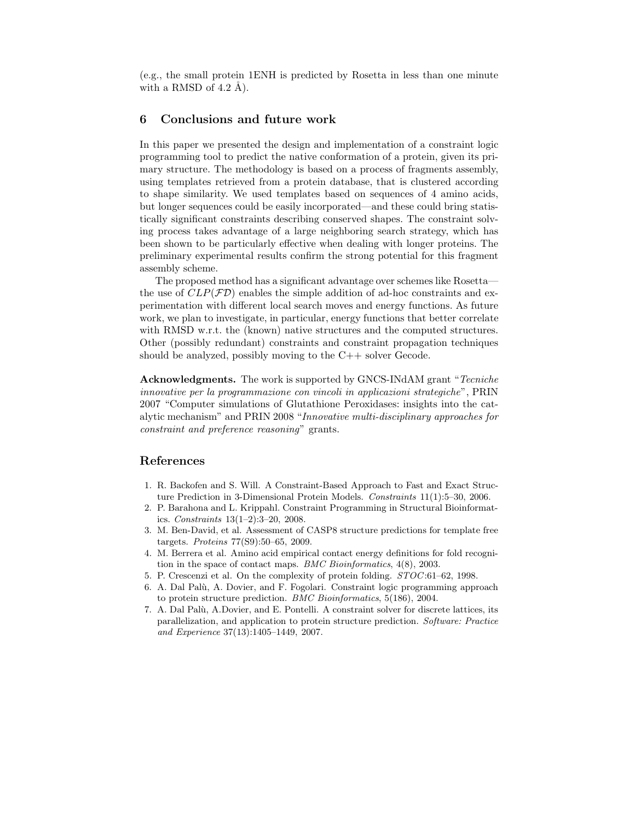(e.g., the small protein 1ENH is predicted by Rosetta in less than one minute with a RMSD of  $4.2$  Å).

### 6 Conclusions and future work

In this paper we presented the design and implementation of a constraint logic programming tool to predict the native conformation of a protein, given its primary structure. The methodology is based on a process of fragments assembly, using templates retrieved from a protein database, that is clustered according to shape similarity. We used templates based on sequences of 4 amino acids, but longer sequences could be easily incorporated—and these could bring statistically significant constraints describing conserved shapes. The constraint solving process takes advantage of a large neighboring search strategy, which has been shown to be particularly effective when dealing with longer proteins. The preliminary experimental results confirm the strong potential for this fragment assembly scheme.

The proposed method has a significant advantage over schemes like Rosetta the use of  $CLP(\mathcal{FD})$  enables the simple addition of ad-hoc constraints and experimentation with different local search moves and energy functions. As future work, we plan to investigate, in particular, energy functions that better correlate with RMSD w.r.t. the (known) native structures and the computed structures. Other (possibly redundant) constraints and constraint propagation techniques should be analyzed, possibly moving to the C++ solver Gecode.

Acknowledgments. The work is supported by GNCS-INdAM grant "Tecniche innovative per la programmazione con vincoli in applicazioni strategiche", PRIN 2007 "Computer simulations of Glutathione Peroxidases: insights into the catalytic mechanism" and PRIN 2008 "Innovative multi-disciplinary approaches for constraint and preference reasoning" grants.

## References

- 1. R. Backofen and S. Will. A Constraint-Based Approach to Fast and Exact Structure Prediction in 3-Dimensional Protein Models. Constraints 11(1):5–30, 2006.
- 2. P. Barahona and L. Krippahl. Constraint Programming in Structural Bioinformatics. Constraints 13(1–2):3–20, 2008.
- 3. M. Ben-David, et al. Assessment of CASP8 structure predictions for template free targets. Proteins 77(S9):50–65, 2009.
- 4. M. Berrera et al. Amino acid empirical contact energy definitions for fold recognition in the space of contact maps. BMC Bioinformatics, 4(8), 2003.
- 5. P. Crescenzi et al. On the complexity of protein folding. STOC :61–62, 1998.
- 6. A. Dal Pal`u, A. Dovier, and F. Fogolari. Constraint logic programming approach to protein structure prediction. BMC Bioinformatics, 5(186), 2004.
- 7. A. Dal Pal`u, A.Dovier, and E. Pontelli. A constraint solver for discrete lattices, its parallelization, and application to protein structure prediction. Software: Practice and Experience 37(13):1405–1449, 2007.